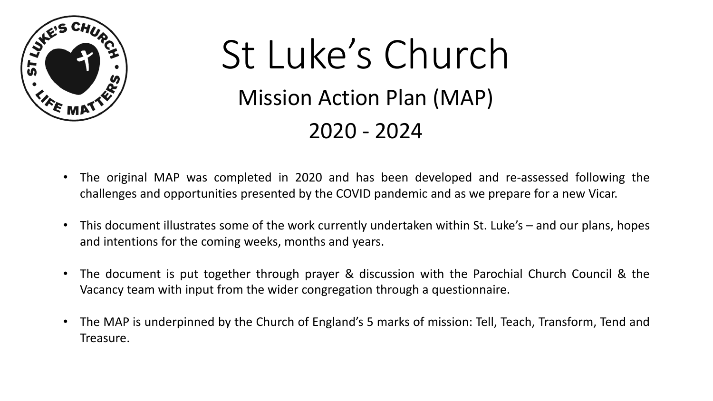

# St Luke's Church Mission Action Plan (MAP) 2020 - 2024

- The original MAP was completed in 2020 and has been developed and re-assessed following the challenges and opportunities presented by the COVID pandemic and as we prepare for a new Vicar.
- This document illustrates some of the work currently undertaken within St. Luke's and our plans, hopes and intentions for the coming weeks, months and years.
- The document is put together through prayer & discussion with the Parochial Church Council & the Vacancy team with input from the wider congregation through a questionnaire.
- The MAP is underpinned by the Church of England's 5 marks of mission: Tell, Teach, Transform, Tend and Treasure.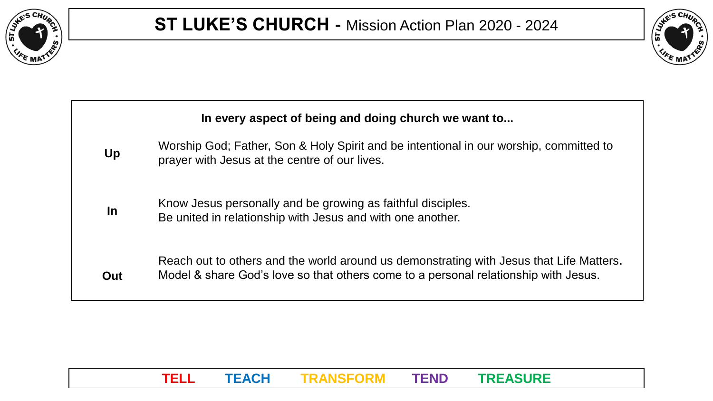



| In every aspect of being and doing church we want to |                                                                                                                                                                                |
|------------------------------------------------------|--------------------------------------------------------------------------------------------------------------------------------------------------------------------------------|
| Up                                                   | Worship God; Father, Son & Holy Spirit and be intentional in our worship, committed to<br>prayer with Jesus at the centre of our lives.                                        |
| In                                                   | Know Jesus personally and be growing as faithful disciples.<br>Be united in relationship with Jesus and with one another.                                                      |
| Out                                                  | Reach out to others and the world around us demonstrating with Jesus that Life Matters.<br>Model & share God's love so that others come to a personal relationship with Jesus. |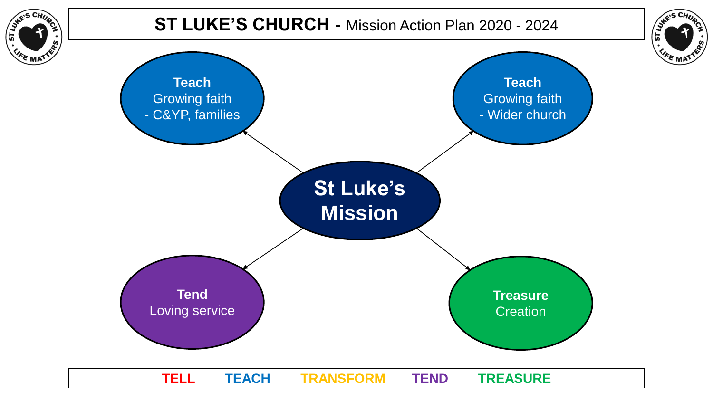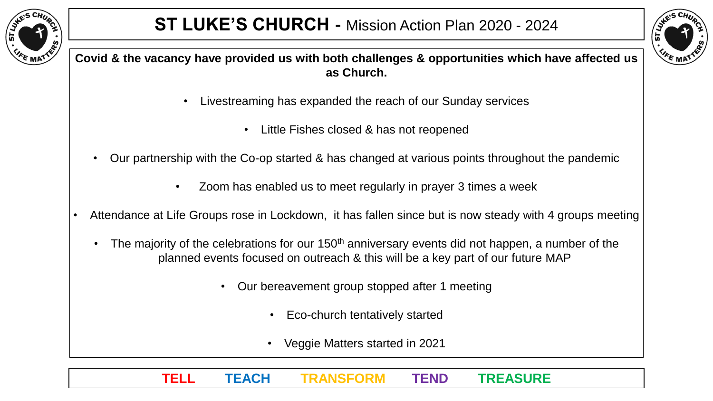



**Covid & the vacancy have provided us with both challenges & opportunities which have affected us as Church.**

- Livestreaming has expanded the reach of our Sunday services
	- Little Fishes closed & has not reopened
- Our partnership with the Co-op started & has changed at various points throughout the pandemic
	- Zoom has enabled us to meet regularly in prayer 3 times a week
- Attendance at Life Groups rose in Lockdown, it has fallen since but is now steady with 4 groups meeting
	- The majority of the celebrations for our 150<sup>th</sup> anniversary events did not happen, a number of the planned events focused on outreach & this will be a key part of our future MAP
		- Our bereavement group stopped after 1 meeting
			- Eco-church tentatively started
			- Veggie Matters started in 2021
		- **TELL TEACH TRANSFORM TEND TREASURE**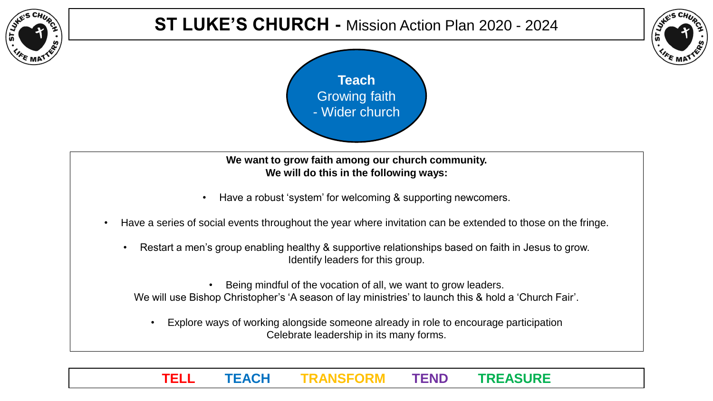

## **ST LUKE'S CHURCH -** Mission Action Plan 2020 - 2024





**We want to grow faith among our church community. We will do this in the following ways:**

- Have a robust 'system' for welcoming & supporting newcomers.
- Have a series of social events throughout the year where invitation can be extended to those on the fringe.
	- Restart a men's group enabling healthy & supportive relationships based on faith in Jesus to grow. Identify leaders for this group.

Being mindful of the vocation of all, we want to grow leaders. We will use Bishop Christopher's 'A season of lay ministries' to launch this & hold a 'Church Fair'.

• Explore ways of working alongside someone already in role to encourage participation Celebrate leadership in its many forms.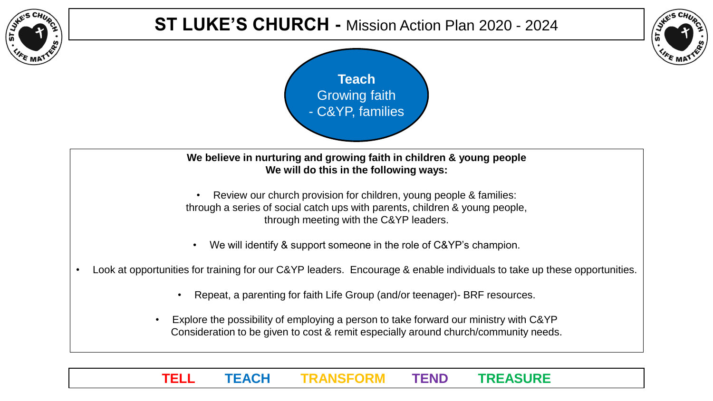

## **ST LUKE'S CHURCH -** Mission Action Plan 2020 - 2024





**We believe in nurturing and growing faith in children & young people We will do this in the following ways:**

Review our church provision for children, young people & families: through a series of social catch ups with parents, children & young people, through meeting with the C&YP leaders.

- We will identify & support someone in the role of C&YP's champion.
- Look at opportunities for training for our C&YP leaders. Encourage & enable individuals to take up these opportunities.
	- Repeat, a parenting for faith Life Group (and/or teenager)- BRF resources.
	- Explore the possibility of employing a person to take forward our ministry with C&YP Consideration to be given to cost & remit especially around church/community needs.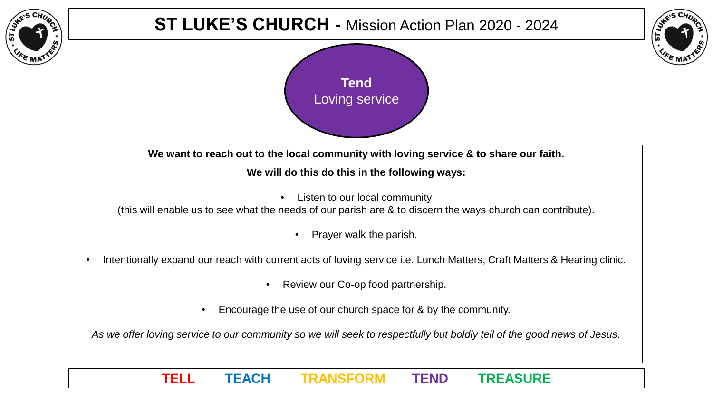## **ST LUKE'S CHURCH -** Mission Action Plan 2020 - 2024





**We want to reach out to the local community with loving service & to share our faith.**

#### **We will do this do this in the following ways:**

• Listen to our local community

(this will enable us to see what the needs of our parish are & to discern the ways church can contribute).

- Prayer walk the parish.
- Intentionally expand our reach with current acts of loving service i.e. Lunch Matters, Craft Matters & Hearing clinic.
	- Review our Co-op food partnership.
	- Encourage the use of our church space for & by the community.

*As we offer loving service to our community so we will seek to respectfully but boldly tell of the good news of Jesus.*